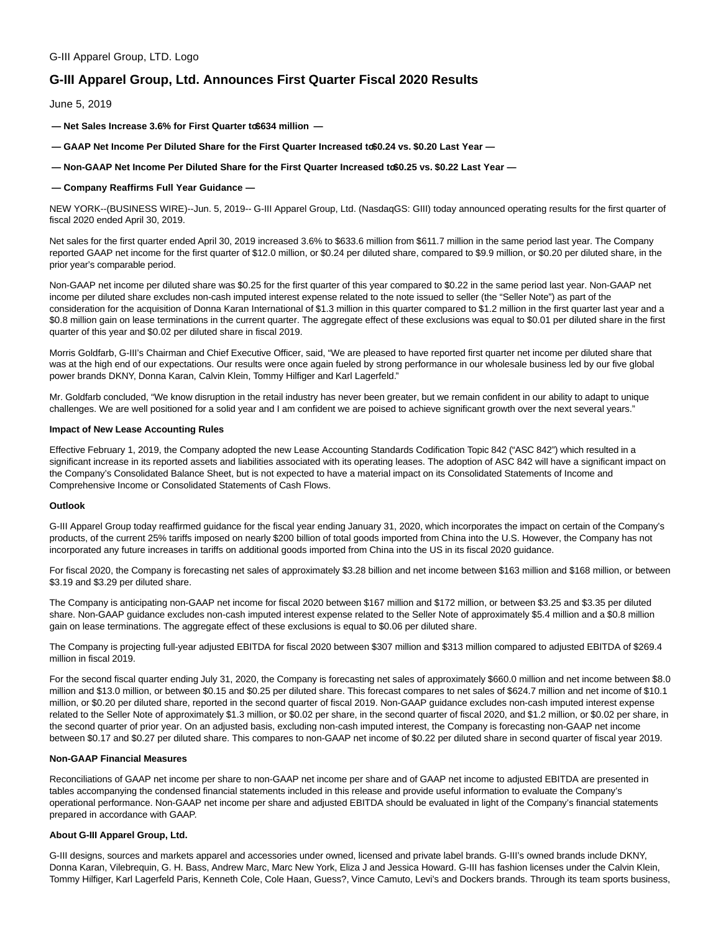### G-III Apparel Group, LTD. Logo

# **G-III Apparel Group, Ltd. Announces First Quarter Fiscal 2020 Results**

June 5, 2019

 $-$  Net Sales Increase 3.6% for First Quarter to \$634 million  $-$ 

- $-$  GAAP Net Income Per Diluted Share for the First Quarter Increased to \$0.24 vs. \$0.20 Last Year  $-$
- **Non-GAAP Net Income Per Diluted Share for the First Quarter Increased to \$0.25 vs. \$0.22 Last Year —**

### **— Company Reaffirms Full Year Guidance —**

NEW YORK--(BUSINESS WIRE)--Jun. 5, 2019-- G-III Apparel Group, Ltd. (NasdaqGS: GIII) today announced operating results for the first quarter of fiscal 2020 ended April 30, 2019.

Net sales for the first quarter ended April 30, 2019 increased 3.6% to \$633.6 million from \$611.7 million in the same period last year. The Company reported GAAP net income for the first quarter of \$12.0 million, or \$0.24 per diluted share, compared to \$9.9 million, or \$0.20 per diluted share, in the prior year's comparable period.

Non-GAAP net income per diluted share was \$0.25 for the first quarter of this year compared to \$0.22 in the same period last year. Non-GAAP net income per diluted share excludes non-cash imputed interest expense related to the note issued to seller (the "Seller Note") as part of the consideration for the acquisition of Donna Karan International of \$1.3 million in this quarter compared to \$1.2 million in the first quarter last year and a \$0.8 million gain on lease terminations in the current quarter. The aggregate effect of these exclusions was equal to \$0.01 per diluted share in the first quarter of this year and \$0.02 per diluted share in fiscal 2019.

Morris Goldfarb, G-III's Chairman and Chief Executive Officer, said, "We are pleased to have reported first quarter net income per diluted share that was at the high end of our expectations. Our results were once again fueled by strong performance in our wholesale business led by our five global power brands DKNY, Donna Karan, Calvin Klein, Tommy Hilfiger and Karl Lagerfeld."

Mr. Goldfarb concluded, "We know disruption in the retail industry has never been greater, but we remain confident in our ability to adapt to unique challenges. We are well positioned for a solid year and I am confident we are poised to achieve significant growth over the next several years."

### **Impact of New Lease Accounting Rules**

Effective February 1, 2019, the Company adopted the new Lease Accounting Standards Codification Topic 842 ("ASC 842") which resulted in a significant increase in its reported assets and liabilities associated with its operating leases. The adoption of ASC 842 will have a significant impact on the Company's Consolidated Balance Sheet, but is not expected to have a material impact on its Consolidated Statements of Income and Comprehensive Income or Consolidated Statements of Cash Flows.

### **Outlook**

G-III Apparel Group today reaffirmed guidance for the fiscal year ending January 31, 2020, which incorporates the impact on certain of the Company's products, of the current 25% tariffs imposed on nearly \$200 billion of total goods imported from China into the U.S. However, the Company has not incorporated any future increases in tariffs on additional goods imported from China into the US in its fiscal 2020 guidance.

For fiscal 2020, the Company is forecasting net sales of approximately \$3.28 billion and net income between \$163 million and \$168 million, or between \$3.19 and \$3.29 per diluted share.

The Company is anticipating non-GAAP net income for fiscal 2020 between \$167 million and \$172 million, or between \$3.25 and \$3.35 per diluted share. Non-GAAP guidance excludes non-cash imputed interest expense related to the Seller Note of approximately \$5.4 million and a \$0.8 million gain on lease terminations. The aggregate effect of these exclusions is equal to \$0.06 per diluted share.

The Company is projecting full-year adjusted EBITDA for fiscal 2020 between \$307 million and \$313 million compared to adjusted EBITDA of \$269.4 million in fiscal 2019.

For the second fiscal quarter ending July 31, 2020, the Company is forecasting net sales of approximately \$660.0 million and net income between \$8.0 million and \$13.0 million, or between \$0.15 and \$0.25 per diluted share. This forecast compares to net sales of \$624.7 million and net income of \$10.1 million, or \$0.20 per diluted share, reported in the second quarter of fiscal 2019. Non-GAAP guidance excludes non-cash imputed interest expense related to the Seller Note of approximately \$1.3 million, or \$0.02 per share, in the second quarter of fiscal 2020, and \$1.2 million, or \$0.02 per share, in the second quarter of prior year. On an adjusted basis, excluding non-cash imputed interest, the Company is forecasting non-GAAP net income between \$0.17 and \$0.27 per diluted share. This compares to non-GAAP net income of \$0.22 per diluted share in second quarter of fiscal year 2019.

### **Non-GAAP Financial Measures**

Reconciliations of GAAP net income per share to non-GAAP net income per share and of GAAP net income to adjusted EBITDA are presented in tables accompanying the condensed financial statements included in this release and provide useful information to evaluate the Company's operational performance. Non-GAAP net income per share and adjusted EBITDA should be evaluated in light of the Company's financial statements prepared in accordance with GAAP.

### **About G-III Apparel Group, Ltd.**

G-III designs, sources and markets apparel and accessories under owned, licensed and private label brands. G-III's owned brands include DKNY, Donna Karan, Vilebrequin, G. H. Bass, Andrew Marc, Marc New York, Eliza J and Jessica Howard. G-III has fashion licenses under the Calvin Klein, Tommy Hilfiger, Karl Lagerfeld Paris, Kenneth Cole, Cole Haan, Guess?, Vince Camuto, Levi's and Dockers brands. Through its team sports business,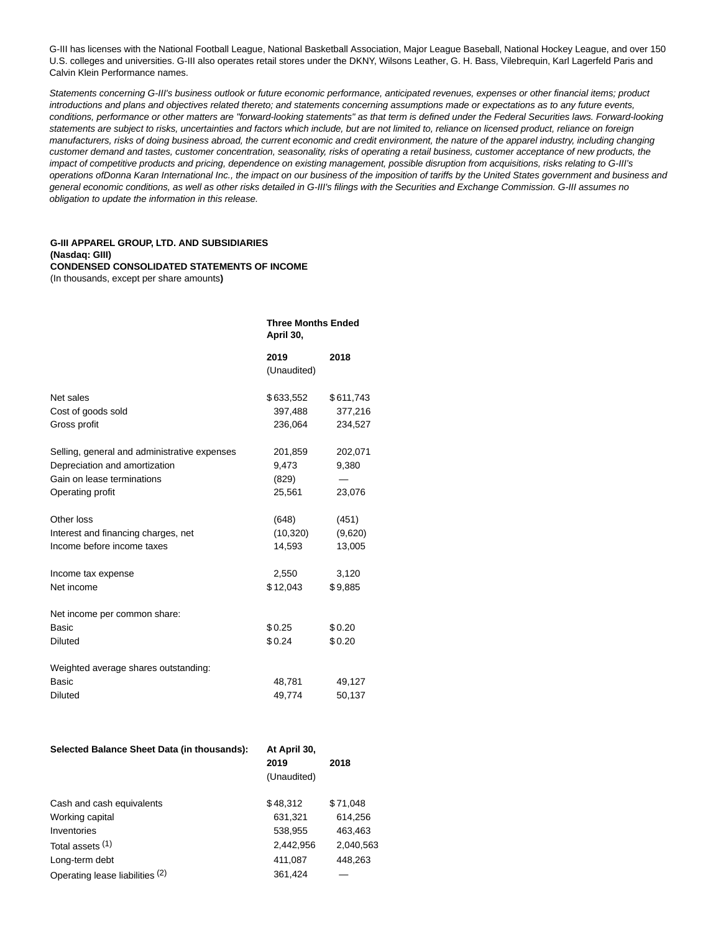G-III has licenses with the National Football League, National Basketball Association, Major League Baseball, National Hockey League, and over 150 U.S. colleges and universities. G-III also operates retail stores under the DKNY, Wilsons Leather, G. H. Bass, Vilebrequin, Karl Lagerfeld Paris and Calvin Klein Performance names.

Statements concerning G-III's business outlook or future economic performance, anticipated revenues, expenses or other financial items; product introductions and plans and objectives related thereto; and statements concerning assumptions made or expectations as to any future events, conditions, performance or other matters are "forward-looking statements" as that term is defined under the Federal Securities laws. Forward-looking statements are subject to risks, uncertainties and factors which include, but are not limited to, reliance on licensed product, reliance on foreign manufacturers, risks of doing business abroad, the current economic and credit environment, the nature of the apparel industry, including changing customer demand and tastes, customer concentration, seasonality, risks of operating a retail business, customer acceptance of new products, the impact of competitive products and pricing, dependence on existing management, possible disruption from acquisitions, risks relating to G-III's operations ofDonna Karan International Inc., the impact on our business of the imposition of tariffs by the United States government and business and general economic conditions, as well as other risks detailed in G-III's filings with the Securities and Exchange Commission. G-III assumes no obligation to update the information in this release.

### **G-III APPAREL GROUP, LTD. AND SUBSIDIARIES (Nasdaq: GIII) CONDENSED CONSOLIDATED STATEMENTS OF INCOME** (In thousands, except per share amounts**)**

|                                              | <b>Three Months Ended</b><br>April 30, |           |  |
|----------------------------------------------|----------------------------------------|-----------|--|
|                                              | 2019<br>(Unaudited)                    | 2018      |  |
| Net sales                                    | \$633,552                              | \$611,743 |  |
| Cost of goods sold                           | 397,488                                | 377,216   |  |
| Gross profit                                 | 236,064                                | 234,527   |  |
| Selling, general and administrative expenses | 201,859                                | 202,071   |  |
| Depreciation and amortization                | 9,473                                  | 9,380     |  |
| Gain on lease terminations                   | (829)                                  |           |  |
| Operating profit                             | 25,561                                 | 23,076    |  |
| Other loss                                   | (648)                                  | (451)     |  |
| Interest and financing charges, net          | (10, 320)                              | (9,620)   |  |
| Income before income taxes                   | 14,593                                 | 13,005    |  |
| Income tax expense                           | 2,550                                  | 3,120     |  |
| Net income                                   | \$12,043                               | \$9,885   |  |
| Net income per common share:                 |                                        |           |  |
| Basic                                        | \$0.25                                 | \$0.20    |  |
| <b>Diluted</b>                               | \$0.24                                 | \$0.20    |  |
| Weighted average shares outstanding:         |                                        |           |  |
| <b>Basic</b>                                 | 48,781                                 | 49,127    |  |
| <b>Diluted</b>                               | 49,774                                 | 50,137    |  |
|                                              |                                        |           |  |

| Selected Balance Sheet Data (in thousands): | At April 30,<br>2019<br>(Unaudited) | 2018      |
|---------------------------------------------|-------------------------------------|-----------|
| Cash and cash equivalents                   | \$48,312                            | \$71.048  |
| Working capital                             | 631,321                             | 614,256   |
| Inventories                                 | 538,955                             | 463,463   |
| Total assets (1)                            | 2,442,956                           | 2,040,563 |
| Long-term debt                              | 411,087                             | 448.263   |
| Operating lease liabilities (2)             | 361.424                             |           |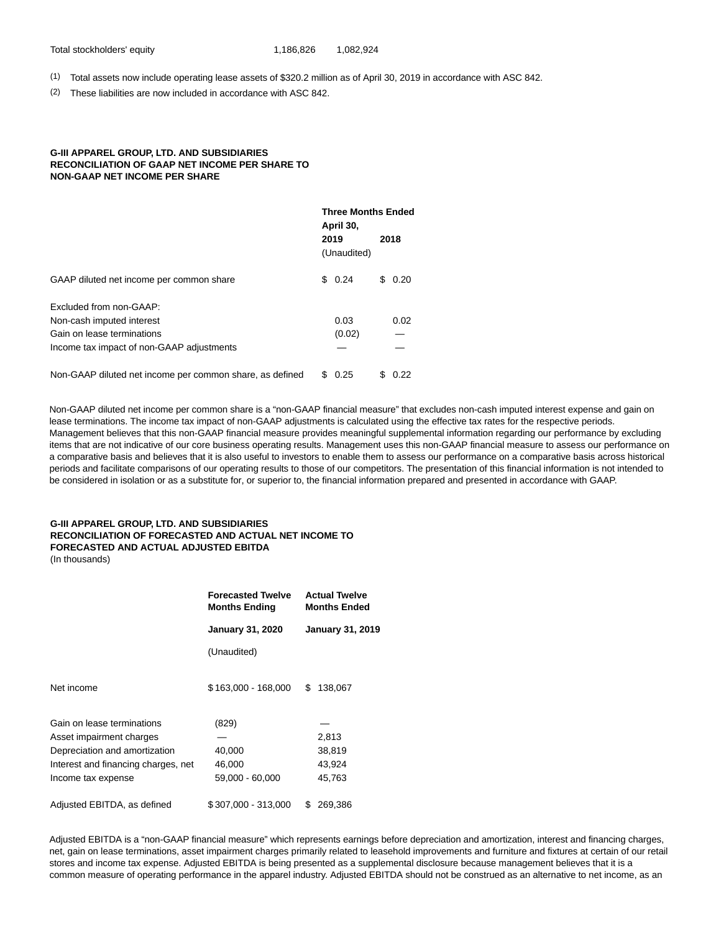(1) Total assets now include operating lease assets of \$320.2 million as of April 30, 2019 in accordance with ASC 842.

(2) These liabilities are now included in accordance with ASC 842.

### **G-III APPAREL GROUP, LTD. AND SUBSIDIARIES RECONCILIATION OF GAAP NET INCOME PER SHARE TO NON-GAAP NET INCOME PER SHARE**

|                                                          | <b>Three Months Ended</b><br>April 30, |                     |   |      |
|----------------------------------------------------------|----------------------------------------|---------------------|---|------|
|                                                          |                                        | 2019<br>(Unaudited) |   | 2018 |
| GAAP diluted net income per common share                 |                                        | \$0.24              | S | 0.20 |
| Excluded from non-GAAP:                                  |                                        |                     |   |      |
| Non-cash imputed interest                                |                                        | 0.03                |   | 0.02 |
| Gain on lease terminations                               |                                        | (0.02)              |   |      |
| Income tax impact of non-GAAP adjustments                |                                        |                     |   |      |
| Non-GAAP diluted net income per common share, as defined | \$.                                    | 0.25                | S | 0.22 |

Non-GAAP diluted net income per common share is a "non-GAAP financial measure" that excludes non-cash imputed interest expense and gain on lease terminations. The income tax impact of non-GAAP adjustments is calculated using the effective tax rates for the respective periods. Management believes that this non-GAAP financial measure provides meaningful supplemental information regarding our performance by excluding items that are not indicative of our core business operating results. Management uses this non-GAAP financial measure to assess our performance on a comparative basis and believes that it is also useful to investors to enable them to assess our performance on a comparative basis across historical periods and facilitate comparisons of our operating results to those of our competitors. The presentation of this financial information is not intended to be considered in isolation or as a substitute for, or superior to, the financial information prepared and presented in accordance with GAAP.

## **G-III APPAREL GROUP, LTD. AND SUBSIDIARIES RECONCILIATION OF FORECASTED AND ACTUAL NET INCOME TO FORECASTED AND ACTUAL ADJUSTED EBITDA**

(In thousands)

|                                     | <b>Forecasted Twelve</b><br><b>Months Ending</b> | <b>Actual Twelve</b><br><b>Months Ended</b> |  |  |
|-------------------------------------|--------------------------------------------------|---------------------------------------------|--|--|
|                                     | <b>January 31, 2020</b>                          | <b>January 31, 2019</b>                     |  |  |
|                                     | (Unaudited)                                      |                                             |  |  |
| Net income                          | \$163,000 - 168,000                              | \$<br>138,067                               |  |  |
| Gain on lease terminations          | (829)                                            |                                             |  |  |
| Asset impairment charges            |                                                  | 2,813                                       |  |  |
| Depreciation and amortization       | 40,000                                           | 38,819                                      |  |  |
| Interest and financing charges, net | 46,000                                           | 43,924                                      |  |  |
| Income tax expense                  | 59,000 - 60,000                                  | 45,763                                      |  |  |
| Adjusted EBITDA, as defined         | \$307,000 - 313,000                              | \$<br>269,386                               |  |  |
|                                     |                                                  |                                             |  |  |

Adjusted EBITDA is a "non-GAAP financial measure" which represents earnings before depreciation and amortization, interest and financing charges, net, gain on lease terminations, asset impairment charges primarily related to leasehold improvements and furniture and fixtures at certain of our retail stores and income tax expense. Adjusted EBITDA is being presented as a supplemental disclosure because management believes that it is a common measure of operating performance in the apparel industry. Adjusted EBITDA should not be construed as an alternative to net income, as an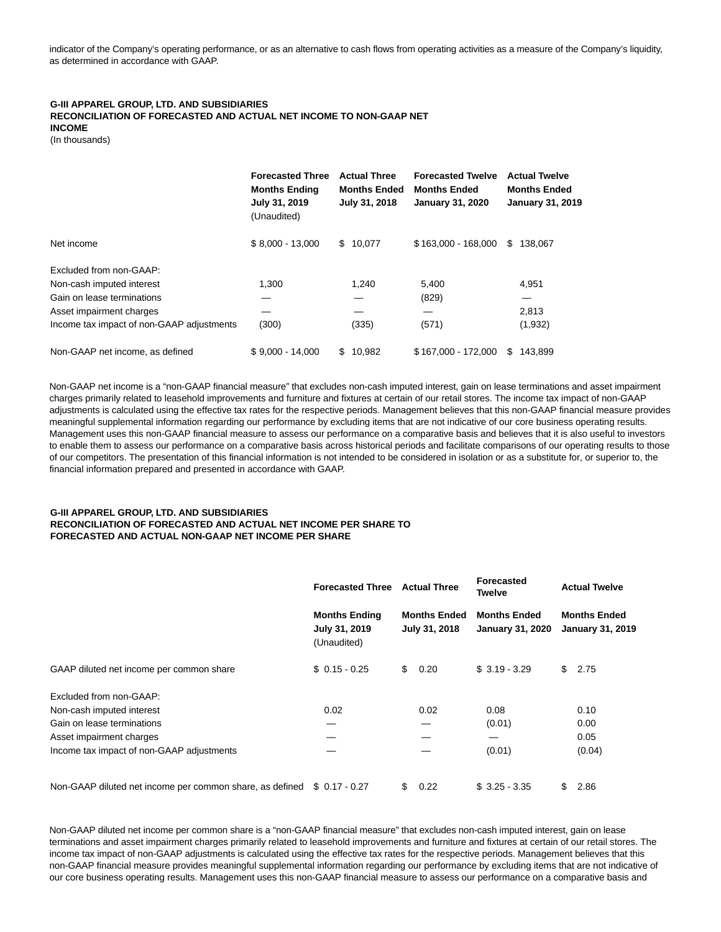indicator of the Company's operating performance, or as an alternative to cash flows from operating activities as a measure of the Company's liquidity, as determined in accordance with GAAP.

# **G-III APPAREL GROUP, LTD. AND SUBSIDIARIES RECONCILIATION OF FORECASTED AND ACTUAL NET INCOME TO NON-GAAP NET INCOME**

(In thousands)

|                                           | <b>Forecasted Three</b><br><b>Months Ending</b><br>July 31, 2019<br>(Unaudited) | <b>Actual Three</b><br><b>Months Ended</b><br>July 31, 2018 | <b>Forecasted Twelve</b><br><b>Months Ended</b><br><b>January 31, 2020</b> | <b>Actual Twelve</b><br><b>Months Ended</b><br><b>January 31, 2019</b> |
|-------------------------------------------|---------------------------------------------------------------------------------|-------------------------------------------------------------|----------------------------------------------------------------------------|------------------------------------------------------------------------|
| Net income                                | $$8,000 - 13,000$                                                               | \$10,077                                                    | \$163,000 - 168,000                                                        | 138.067<br>\$.                                                         |
| Excluded from non-GAAP:                   |                                                                                 |                                                             |                                                                            |                                                                        |
| Non-cash imputed interest                 | 1,300                                                                           | 1,240                                                       | 5,400                                                                      | 4,951                                                                  |
| Gain on lease terminations                |                                                                                 |                                                             | (829)                                                                      |                                                                        |
| Asset impairment charges                  |                                                                                 |                                                             |                                                                            | 2,813                                                                  |
| Income tax impact of non-GAAP adjustments | (300)                                                                           | (335)                                                       | (571)                                                                      | (1,932)                                                                |
| Non-GAAP net income, as defined           | $$9.000 - 14.000$                                                               | \$10.982                                                    | \$167.000 - 172.000                                                        | 143.899<br>\$.                                                         |

Non-GAAP net income is a "non-GAAP financial measure" that excludes non-cash imputed interest, gain on lease terminations and asset impairment charges primarily related to leasehold improvements and furniture and fixtures at certain of our retail stores. The income tax impact of non-GAAP adjustments is calculated using the effective tax rates for the respective periods. Management believes that this non-GAAP financial measure provides meaningful supplemental information regarding our performance by excluding items that are not indicative of our core business operating results. Management uses this non-GAAP financial measure to assess our performance on a comparative basis and believes that it is also useful to investors to enable them to assess our performance on a comparative basis across historical periods and facilitate comparisons of our operating results to those of our competitors. The presentation of this financial information is not intended to be considered in isolation or as a substitute for, or superior to, the financial information prepared and presented in accordance with GAAP.

### **G-III APPAREL GROUP, LTD. AND SUBSIDIARIES RECONCILIATION OF FORECASTED AND ACTUAL NET INCOME PER SHARE TO FORECASTED AND ACTUAL NON-GAAP NET INCOME PER SHARE**

|                                                                         | <b>Forecasted Three</b>                                                                      | <b>Actual Three</b> | <b>Forecasted</b><br><b>Twelve</b>             | <b>Actual Twelve</b>                           |  |
|-------------------------------------------------------------------------|----------------------------------------------------------------------------------------------|---------------------|------------------------------------------------|------------------------------------------------|--|
|                                                                         | <b>Months Ended</b><br><b>Months Ending</b><br>July 31, 2019<br>July 31, 2018<br>(Unaudited) |                     | <b>Months Ended</b><br><b>January 31, 2020</b> | <b>Months Ended</b><br><b>January 31, 2019</b> |  |
| GAAP diluted net income per common share                                | $$0.15 - 0.25$                                                                               | \$<br>0.20          | $$3.19 - 3.29$                                 | \$<br>2.75                                     |  |
| Excluded from non-GAAP:                                                 |                                                                                              |                     |                                                |                                                |  |
| Non-cash imputed interest                                               | 0.02                                                                                         | 0.02                | 0.08                                           | 0.10                                           |  |
| Gain on lease terminations                                              |                                                                                              |                     | (0.01)                                         | 0.00                                           |  |
| Asset impairment charges                                                |                                                                                              |                     |                                                | 0.05                                           |  |
| Income tax impact of non-GAAP adjustments                               |                                                                                              |                     | (0.01)                                         | (0.04)                                         |  |
| Non-GAAP diluted net income per common share, as defined \$ 0.17 - 0.27 |                                                                                              | 0.22<br>\$.         | $$3.25 - 3.35$                                 | \$<br>2.86                                     |  |

Non-GAAP diluted net income per common share is a "non-GAAP financial measure" that excludes non-cash imputed interest, gain on lease terminations and asset impairment charges primarily related to leasehold improvements and furniture and fixtures at certain of our retail stores. The income tax impact of non-GAAP adjustments is calculated using the effective tax rates for the respective periods. Management believes that this non-GAAP financial measure provides meaningful supplemental information regarding our performance by excluding items that are not indicative of our core business operating results. Management uses this non-GAAP financial measure to assess our performance on a comparative basis and